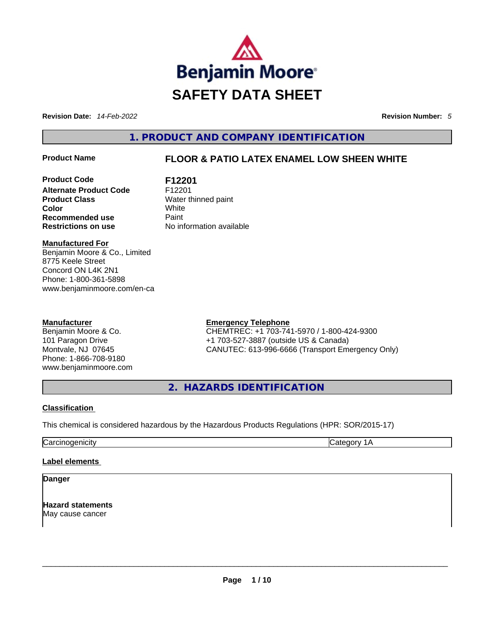

**Revision Date:** *14-Feb-2022* **Revision Number:** *5*

**1. PRODUCT AND COMPANY IDENTIFICATION** 

# **Product Name FLOOR & PATIO LATEX ENAMEL LOW SHEEN WHITE**

**Product Code F12201 Alternate Product Code** F12201 **Product Class Water thinned paint**<br> **Color White Color** White **Recommended use <b>Paint Restrictions on use** No information available

**Manufactured For** Benjamin Moore & Co., Limited 8775 Keele Street Concord ON L4K 2N1 Phone: 1-800-361-5898 www.benjaminmoore.com/en-ca

#### **Manufacturer**

Benjamin Moore & Co. 101 Paragon Drive Montvale, NJ 07645 Phone: 1-866-708-9180 www.benjaminmoore.com

# **Emergency Telephone**

CHEMTREC: +1 703-741-5970 / 1-800-424-9300 +1 703-527-3887 (outside US & Canada) CANUTEC: 613-996-6666 (Transport Emergency Only)

**2. HAZARDS IDENTIFICATION** 

### **Classification**

This chemical is considered hazardous by the Hazardous Products Regulations (HPR: SOR/2015-17)

Carcinogenicity Carcinogenicity Category 1A

#### **Label elements**

## **Danger**

**Hazard statements** May cause cancer \_\_\_\_\_\_\_\_\_\_\_\_\_\_\_\_\_\_\_\_\_\_\_\_\_\_\_\_\_\_\_\_\_\_\_\_\_\_\_\_\_\_\_\_\_\_\_\_\_\_\_\_\_\_\_\_\_\_\_\_\_\_\_\_\_\_\_\_\_\_\_\_\_\_\_\_\_\_\_\_\_\_\_\_\_\_\_\_\_\_\_\_\_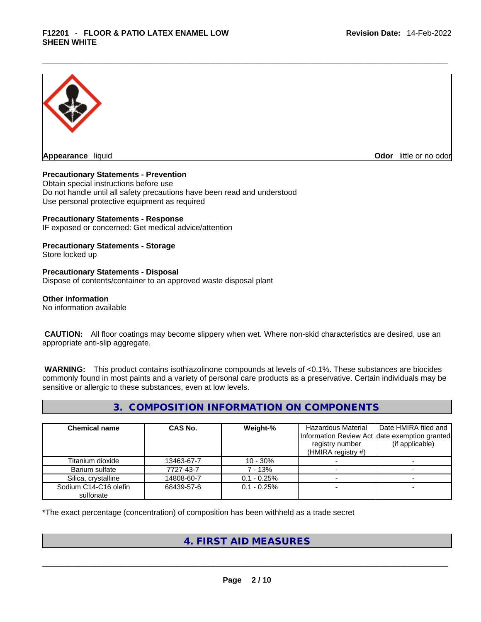

**Appearance** liquid **Odor 11** and **Odor 11** and **Odor 11** and **Odor 11** and **Odor** 11 and **Odor** 11 and **Odor** 11 and **Odor** 11 and **Odor** 11 and **Odor** 11 and **Odor** 11 and **Odor** 11 and **Odor** 11 and **Odor** 11 and **Odor** 

#### **Precautionary Statements - Prevention**

Obtain special instructions before use Do not handle until all safety precautions have been read and understood Use personal protective equipment as required

#### **Precautionary Statements - Response**

IF exposed or concerned: Get medical advice/attention

#### **Precautionary Statements - Storage** Store locked up

# **Precautionary Statements - Disposal**

Dispose of contents/container to an approved waste disposal plant

#### **Other information**

No information available

 **CAUTION:** All floor coatings may become slippery when wet. Where non-skid characteristics are desired, use an appropriate anti-slip aggregate.

 **WARNING:** This product contains isothiazolinone compounds at levels of <0.1%. These substances are biocides commonly found in most paints and a variety of personal care products as a preservative. Certain individuals may be sensitive or allergic to these substances, even at low levels.

### **3. COMPOSITION INFORMATION ON COMPONENTS**

| <b>Chemical name</b>               | CAS No.    | Weight-%       | Hazardous Material<br>registry number<br>(HMIRA registry $#$ ) | Date HMIRA filed and<br>Information Review Act Idate exemption granted<br>(if applicable) |
|------------------------------------|------------|----------------|----------------------------------------------------------------|-------------------------------------------------------------------------------------------|
| Titanium dioxide                   | 13463-67-7 | $10 - 30\%$    |                                                                |                                                                                           |
| Barium sulfate                     | 7727-43-7  | 7 - 13%        |                                                                |                                                                                           |
| Silica, crystalline                | 14808-60-7 | $0.1 - 0.25%$  |                                                                |                                                                                           |
| Sodium C14-C16 olefin<br>sulfonate | 68439-57-6 | $0.1 - 0.25\%$ |                                                                |                                                                                           |

\*The exact percentage (concentration) of composition has been withheld as a trade secret

# **4. FIRST AID MEASURES**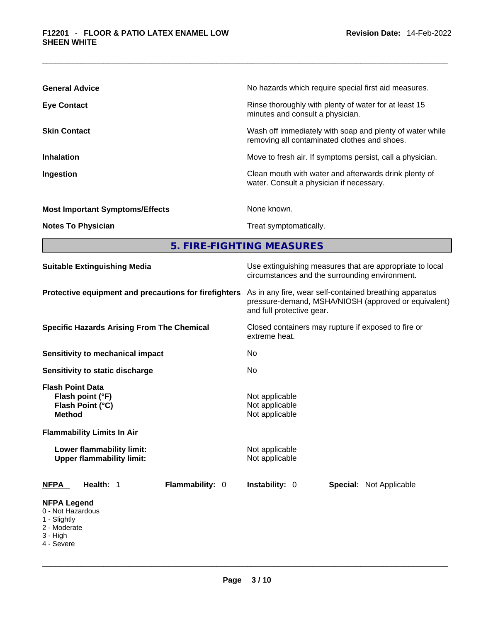| <b>General Advice</b>                  | No hazards which require special first aid measures.                                                     |
|----------------------------------------|----------------------------------------------------------------------------------------------------------|
| <b>Eye Contact</b>                     | Rinse thoroughly with plenty of water for at least 15<br>minutes and consult a physician.                |
| <b>Skin Contact</b>                    | Wash off immediately with soap and plenty of water while<br>removing all contaminated clothes and shoes. |
| <b>Inhalation</b>                      | Move to fresh air. If symptoms persist, call a physician.                                                |
| Ingestion                              | Clean mouth with water and afterwards drink plenty of<br>water. Consult a physician if necessary.        |
| <b>Most Important Symptoms/Effects</b> | None known.                                                                                              |
| <b>Notes To Physician</b>              | Treat symptomatically.                                                                                   |
|                                        | 5. FIRE-FIGHTING MEASURES                                                                                |
| Suitable Extinguishing Media           | Use extinguishing measures that are appropriate to local                                                 |

| <b>Panapic Extinguishing mcala</b>                                                                 | ooo oxungaloring mododroo that are appropriate to loodi<br>circumstances and the surrounding environment.                                    |  |  |
|----------------------------------------------------------------------------------------------------|----------------------------------------------------------------------------------------------------------------------------------------------|--|--|
| Protective equipment and precautions for firefighters                                              | As in any fire, wear self-contained breathing apparatus<br>pressure-demand, MSHA/NIOSH (approved or equivalent)<br>and full protective gear. |  |  |
| <b>Specific Hazards Arising From The Chemical</b>                                                  | Closed containers may rupture if exposed to fire or<br>extreme heat.                                                                         |  |  |
| Sensitivity to mechanical impact                                                                   | No.                                                                                                                                          |  |  |
| Sensitivity to static discharge                                                                    | No.                                                                                                                                          |  |  |
| <b>Flash Point Data</b><br>Flash point (°F)<br>Flash Point (°C)<br><b>Method</b>                   | Not applicable<br>Not applicable<br>Not applicable                                                                                           |  |  |
| <b>Flammability Limits In Air</b><br>Lower flammability limit:<br><b>Upper flammability limit:</b> | Not applicable<br>Not applicable                                                                                                             |  |  |
| Flammability: 0<br>Health: 1<br><b>NFPA</b>                                                        | Instability: 0<br><b>Special: Not Applicable</b>                                                                                             |  |  |
| <b>NFPA Legend</b><br>0 - Not Hazardous<br>1 - Slightly<br>2 - Moderate<br>3 - High<br>4 - Severe  |                                                                                                                                              |  |  |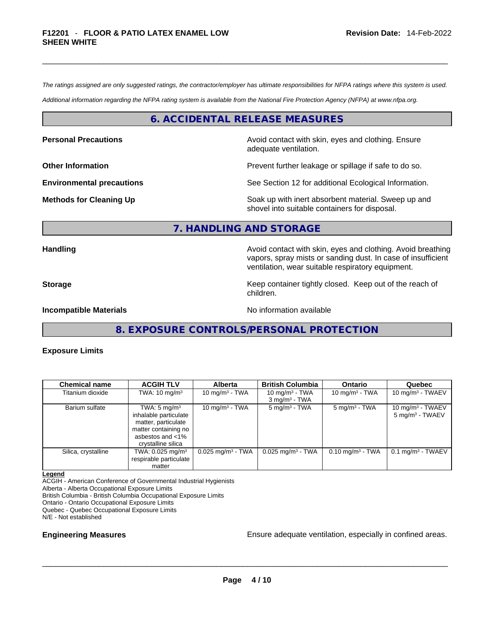*The ratings assigned are only suggested ratings, the contractor/employer has ultimate responsibilities for NFPA ratings where this system is used.* 

*Additional information regarding the NFPA rating system is available from the National Fire Protection Agency (NFPA) at www.nfpa.org.* 

#### **6. ACCIDENTAL RELEASE MEASURES**

**Personal Precautions Precautions Avoid contact with skin, eyes and clothing. Ensure** adequate ventilation.

**Other Information Department Information Department Intervent further leakage or spillage if safe to do so.** 

**Environmental precautions** See Section 12 for additional Ecological Information.

vapors, spray mists or sanding dust. In case of insufficient

**Methods for Cleaning Up Example 20 Soak** up with inert absorbent material. Sweep up and shovel into suitable containers for disposal.

ventilation, wear suitable respiratory equipment.

#### **7. HANDLING AND STORAGE**

**Handling <b>Avoid** contact with skin, eyes and clothing. Avoid breathing and state of the sking and clothing. Avoid breathing

**Storage Keep container tightly closed. Keep out of the reach of Keep** container tightly closed. Keep out of the reach of

**Incompatible Materials No information available No** information available

**8. EXPOSURE CONTROLS/PERSONAL PROTECTION** 

children.

**Exposure Limits** 

| <b>Chemical name</b> | <b>ACGIH TLV</b>               | <b>Alberta</b>                  | <b>British Columbia</b>         | <b>Ontario</b>              | Quebec                          |
|----------------------|--------------------------------|---------------------------------|---------------------------------|-----------------------------|---------------------------------|
| Titanium dioxide     | TWA: $10 \text{ mg/m}^3$       | 10 mg/m $3$ - TWA               | 10 mg/m $3$ - TWA               | 10 mg/m $3$ - TWA           | 10 mg/m $3$ - TWAEV             |
|                      |                                |                                 | $3$ mg/m <sup>3</sup> - TWA     |                             |                                 |
| Barium sulfate       | TWA: $5 \text{ mg/m}^3$        | 10 mg/m $3$ - TWA               | $5 \text{ mg/m}^3$ - TWA        | $5 \text{ mg/m}^3$ - TWA    | 10 mg/m $3$ - TWAEV             |
|                      | inhalable particulate          |                                 |                                 |                             | $5 \text{ mg/m}^3$ - TWAEV      |
|                      | matter, particulate            |                                 |                                 |                             |                                 |
|                      | matter containing no           |                                 |                                 |                             |                                 |
|                      | asbestos and <1%               |                                 |                                 |                             |                                 |
|                      | crystalline silica             |                                 |                                 |                             |                                 |
| Silica, crystalline  | TWA: $0.025$ mg/m <sup>3</sup> | $0.025$ mg/m <sup>3</sup> - TWA | $0.025$ mg/m <sup>3</sup> - TWA | $0.10 \text{ mg/m}^3$ - TWA | $0.1$ mg/m <sup>3</sup> - TWAEV |
|                      | respirable particulate         |                                 |                                 |                             |                                 |
|                      | matter                         |                                 |                                 |                             |                                 |

#### **Legend**

ACGIH - American Conference of Governmental Industrial Hygienists Alberta - Alberta Occupational Exposure Limits British Columbia - British Columbia Occupational Exposure Limits Ontario - Ontario Occupational Exposure Limits Quebec - Quebec Occupational Exposure Limits N/E - Not established

**Engineering Measures Ensure adequate ventilation, especially in confined areas.**  $\blacksquare$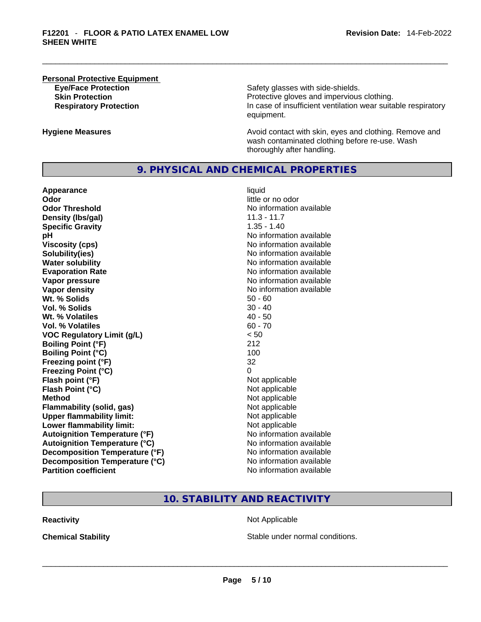# **Personal Protective Equipment**

**Eye/Face Protection Safety glasses with side-shields. Skin Protection Protection Protective gloves and impervious clothing. Respiratory Protection In case of insufficient ventilation wear suitable respiratory** equipment.

**Hygiene Measures Avoid contact with skin, eyes and clothing. Remove and Avoid contact with skin, eyes and clothing. Remove and** wash contaminated clothing before re-use. Wash thoroughly after handling.

### **9. PHYSICAL AND CHEMICAL PROPERTIES**

**Appearance** liquid **Odor Odor Odor Odor Odor Odor** *little or no odor little or no odor* **Odor Threshold** No information available **Density (lbs/gal)** 11.3 - 11.7 **Specific Gravity** 1.35 - 1.40 **pH pH 1 Viscosity (cps) No information available No information available Solubility(ies)** No information available **Water solubility Water solubility No information available Evaporation Rate No information available No information available Vapor pressure No information available No information available Vapor density Vapor** density **Wt. % Solids** 50 - 60 **Vol. % Solids Wt. % Volatiles** 40 - 50 **Vol. % Volatiles** 60 - 70 **VOC Regulatory Limit (g/L)** < 50 **Boiling Point (°F)** 212 **Boiling Point (°C)** 100 **Freezing point (°F)** 32 **Freezing Point (°C)** 0 **Flash point (°F)**<br> **Flash Point (°C)**<br> **Flash Point (°C)**<br> **Compare Server All Alta Annual Mothematic Not applicable Flash Point (°C) Method**<br> **Plammability (solid, gas)**<br> **Plammability (solid, gas)**<br> **Not** applicable **Flammability** (solid, gas) **Upper flammability limit:** Not applicable **Lower flammability limit:** Not applicable **Autoignition Temperature (°F)**<br> **Autoignition Temperature (°C)** No information available **Autoignition Temperature (°C) Decomposition Temperature (°F)** No information available **Decomposition Temperature (°C)** No information available **Partition coefficient** No information available

# **10. STABILITY AND REACTIVITY**

**Reactivity Not Applicable Not Applicable** 

**Chemical Stability Stable under normal conditions. Chemical Stability Stable under normal conditions. Chemical Stability Chemical Stability Chemical Stability Chemical Stability Chemical Stability Chemic**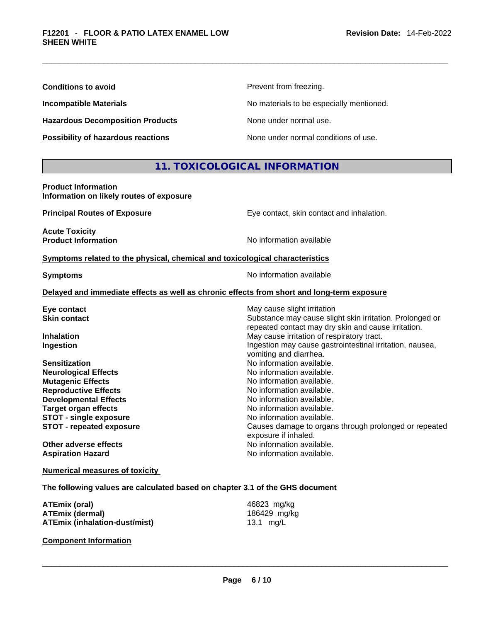| <b>Conditions to avoid</b> |  |
|----------------------------|--|
|----------------------------|--|

**Hazardous Decomposition Products** None under normal use.

**Prevent from freezing.** 

**Incompatible Materials No materials** No materials to be especially mentioned.

**Possibility of hazardous reactions** None under normal conditions of use.

# **11. TOXICOLOGICAL INFORMATION**

#### **Product Information Information on likely routes of exposure**

**Principal Routes of Exposure Exposure** Eye contact, skin contact and inhalation.

**Acute Toxicity** 

**Product Information** 

**Symptoms related to the physical, chemical and toxicological characteristics** 

**Symptoms Symptoms No information available** 

#### **Delayed and immediate effects as well as chronic effects from short and long-term exposure**

| Eye contact                     | May cause slight irritation                                                                                     |
|---------------------------------|-----------------------------------------------------------------------------------------------------------------|
| <b>Skin contact</b>             | Substance may cause slight skin irritation. Prolonged or<br>repeated contact may dry skin and cause irritation. |
| <b>Inhalation</b>               | May cause irritation of respiratory tract.                                                                      |
| Ingestion                       | Ingestion may cause gastrointestinal irritation, nausea,<br>vomiting and diarrhea.                              |
| <b>Sensitization</b>            | No information available.                                                                                       |
| <b>Neurological Effects</b>     | No information available.                                                                                       |
| <b>Mutagenic Effects</b>        | No information available.                                                                                       |
| <b>Reproductive Effects</b>     | No information available.                                                                                       |
| <b>Developmental Effects</b>    | No information available.                                                                                       |
| <b>Target organ effects</b>     | No information available.                                                                                       |
| <b>STOT - single exposure</b>   | No information available.                                                                                       |
| <b>STOT - repeated exposure</b> | Causes damage to organs through prolonged or repeated<br>exposure if inhaled.                                   |
| Other adverse effects           | No information available.                                                                                       |
| <b>Aspiration Hazard</b>        | No information available.                                                                                       |
|                                 |                                                                                                                 |

**Numerical measures of toxicity**

**The following values are calculated based on chapter 3.1 of the GHS document**

| ATEmix (oral)                 | 46823 mg/kg  |
|-------------------------------|--------------|
| <b>ATEmix (dermal)</b>        | 186429 mg/kg |
| ATEmix (inhalation-dust/mist) | 13.1 mg/L    |

**Component Information**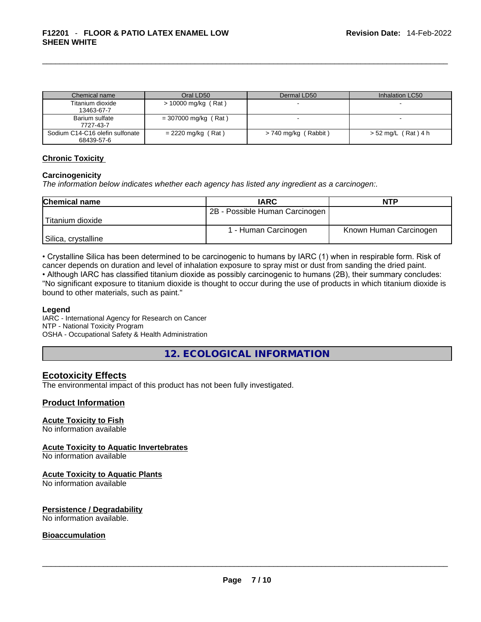| Chemical name                                 | Oral LD50              | Dermal LD50          | Inhalation LC50     |
|-----------------------------------------------|------------------------|----------------------|---------------------|
| Titanium dioxide<br>13463-67-7                | $> 10000$ mg/kg (Rat)  |                      |                     |
| Barium sulfate<br>7727-43-7                   | $= 307000$ mg/kg (Rat) |                      |                     |
| Sodium C14-C16 olefin sulfonate<br>68439-57-6 | $= 2220$ mg/kg (Rat)   | > 740 mg/kg (Rabbit) | > 52 mg/L (Rat) 4 h |

#### **Chronic Toxicity**

#### **Carcinogenicity**

*The information below indicates whether each agency has listed any ingredient as a carcinogen:.* 

| <b>Chemical name</b> | <b>IARC</b>                    | <b>NTP</b>             |  |
|----------------------|--------------------------------|------------------------|--|
|                      | 2B - Possible Human Carcinogen |                        |  |
| 'Titanium dioxide    |                                |                        |  |
|                      | 1 - Human Carcinogen           | Known Human Carcinogen |  |
| Silica, crystalline  |                                |                        |  |

• Crystalline Silica has been determined to be carcinogenic to humans by IARC (1) when in respirable form. Risk of cancer depends on duration and level of inhalation exposure to spray mist or dust from sanding the dried paint.

• Although IARC has classified titanium dioxide as possibly carcinogenic to humans (2B), their summary concludes: "No significant exposure to titanium dioxide is thought to occur during the use of products in which titanium dioxide is bound to other materials, such as paint."

#### **Legend**

IARC - International Agency for Research on Cancer NTP - National Toxicity Program OSHA - Occupational Safety & Health Administration

**12. ECOLOGICAL INFORMATION** 

### **Ecotoxicity Effects**

The environmental impact of this product has not been fully investigated.

#### **Product Information**

#### **Acute Toxicity to Fish**

No information available

#### **Acute Toxicity to Aquatic Invertebrates**

No information available

#### **Acute Toxicity to Aquatic Plants**

No information available

# **Persistence / Degradability**

No information available. \_\_\_\_\_\_\_\_\_\_\_\_\_\_\_\_\_\_\_\_\_\_\_\_\_\_\_\_\_\_\_\_\_\_\_\_\_\_\_\_\_\_\_\_\_\_\_\_\_\_\_\_\_\_\_\_\_\_\_\_\_\_\_\_\_\_\_\_\_\_\_\_\_\_\_\_\_\_\_\_\_\_\_\_\_\_\_\_\_\_\_\_\_

## **Bioaccumulation**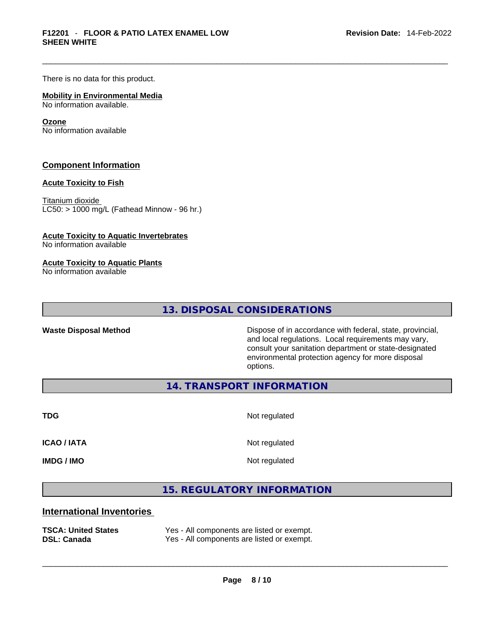There is no data for this product.

#### **Mobility in Environmental Media** No information available.

#### **Ozone**

No information available

#### **Component Information**

#### **Acute Toxicity to Fish**

Titanium dioxide  $LC50:$  > 1000 mg/L (Fathead Minnow - 96 hr.)

#### **Acute Toxicity to Aquatic Invertebrates**

No information available

#### **Acute Toxicity to Aquatic Plants**

No information available

**13. DISPOSAL CONSIDERATIONS** 

Waste Disposal Method **Waste Disposal Method Dispose of in accordance with federal, state, provincial,** and local regulations. Local requirements may vary, consult your sanitation department or state-designated environmental protection agency for more disposal options.

**14. TRANSPORT INFORMATION** 

**TDG** Not regulated

**ICAO / IATA** Not regulated

**IMDG / IMO** Not regulated

# **15. REGULATORY INFORMATION**

# **International Inventories**

| <b>TSCA: United States</b> | Yes - All components are listed or exempt. |
|----------------------------|--------------------------------------------|
| <b>DSL: Canada</b>         | Yes - All components are listed or exempt. |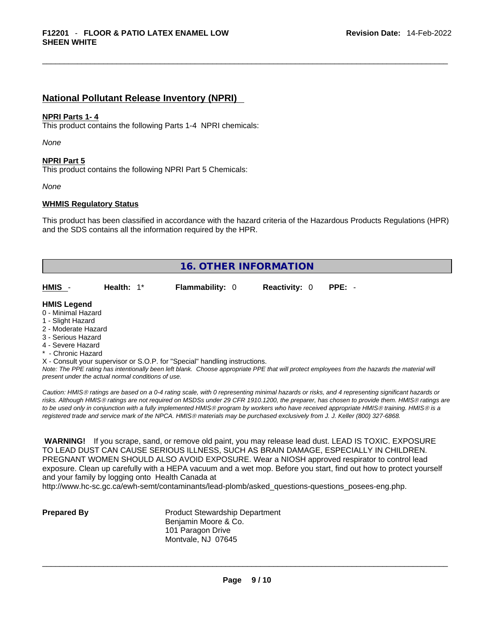## **National Pollutant Release Inventory (NPRI)**

#### **NPRI Parts 1- 4**

This product contains the following Parts 1-4 NPRI chemicals:

*None*

#### **NPRI Part 5**

This product contains the following NPRI Part 5 Chemicals:

*None*

#### **WHMIS Regulatory Status**

This product has been classified in accordance with the hazard criteria of the Hazardous Products Regulations (HPR) and the SDS contains all the information required by the HPR.

| <b>16. OTHER INFORMATION</b>                                                                                                                          |                                                    |                                                                            |                      |                                                                                                                                                 |
|-------------------------------------------------------------------------------------------------------------------------------------------------------|----------------------------------------------------|----------------------------------------------------------------------------|----------------------|-------------------------------------------------------------------------------------------------------------------------------------------------|
| HMIS -                                                                                                                                                | Health: $1^*$                                      | <b>Flammability: 0</b>                                                     | <b>Reactivity: 0</b> | $PPE: -$                                                                                                                                        |
| <b>HMIS Legend</b><br>0 - Minimal Hazard<br>1 - Slight Hazard<br>2 - Moderate Hazard<br>3 - Serious Hazard<br>4 - Severe Hazard<br>* - Chronic Hazard | present under the actual normal conditions of use. | X - Consult your supervisor or S.O.P. for "Special" handling instructions. |                      | Note: The PPE rating has intentionally been left blank. Choose appropriate PPE that will protect employees from the hazards the material will   |
|                                                                                                                                                       |                                                    |                                                                            |                      | Caution: HMIS® ratings are based on a 0-4 rating scale, with 0 representing minimal hazards or risks, and 4 representing significant hazards or |

*Caution: HMISÒ ratings are based on a 0-4 rating scale, with 0 representing minimal hazards or risks, and 4 representing significant hazards or risks. Although HMISÒ ratings are not required on MSDSs under 29 CFR 1910.1200, the preparer, has chosen to provide them. HMISÒ ratings are to be used only in conjunction with a fully implemented HMISÒ program by workers who have received appropriate HMISÒ training. HMISÒ is a registered trade and service mark of the NPCA. HMISÒ materials may be purchased exclusively from J. J. Keller (800) 327-6868.* 

 **WARNING!** If you scrape, sand, or remove old paint, you may release lead dust. LEAD IS TOXIC. EXPOSURE TO LEAD DUST CAN CAUSE SERIOUS ILLNESS, SUCH AS BRAIN DAMAGE, ESPECIALLY IN CHILDREN. PREGNANT WOMEN SHOULD ALSO AVOID EXPOSURE.Wear a NIOSH approved respirator to control lead exposure. Clean up carefully with a HEPA vacuum and a wet mop. Before you start, find out how to protect yourself and your family by logging onto Health Canada at

http://www.hc-sc.gc.ca/ewh-semt/contaminants/lead-plomb/asked\_questions-questions\_posees-eng.php.

**Prepared By Product Stewardship Department** Benjamin Moore & Co. 101 Paragon Drive Montvale, NJ 07645